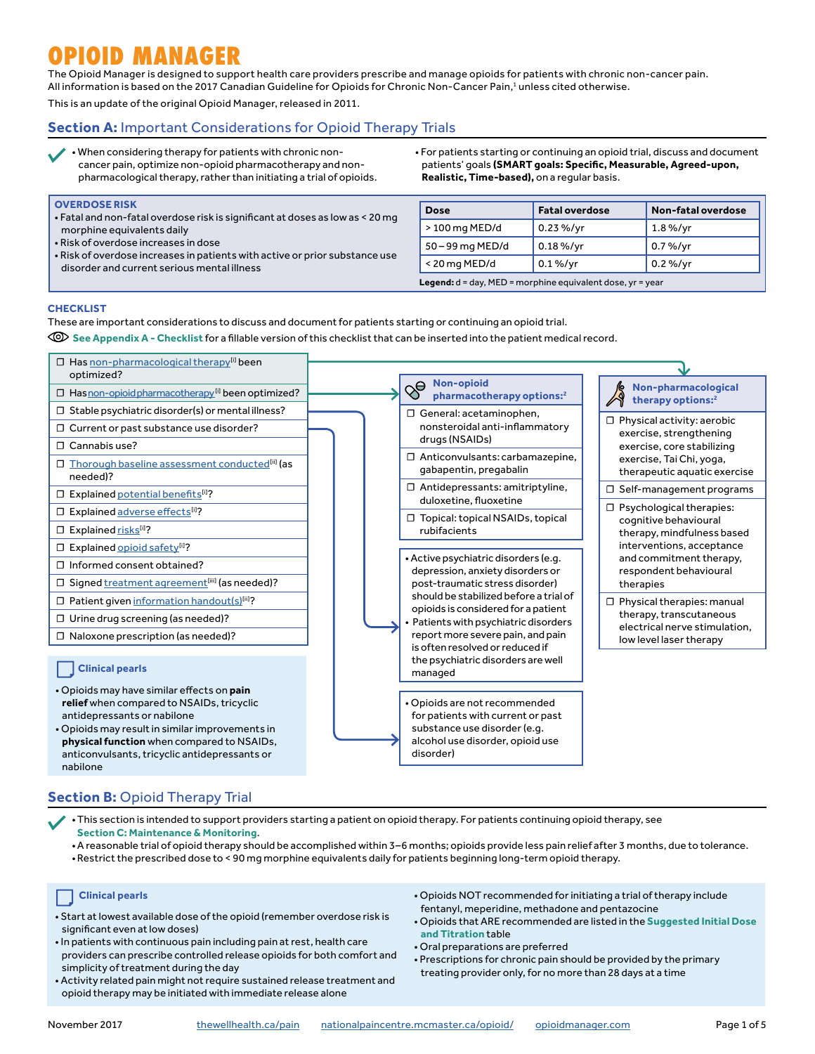# **OPIOID MANAGER**

The Opioid Manager is designed to support health care providers prescribe and manage opioids for patients with chronic non-cancer pain. All information is based on the 2017 Canadian Guideline for Opioids for Chronic Non-Cancer Pain,<sup>1</sup> unless cited otherwise.

This is an update of the original Opioid Manager, released in 2011.

# **Section A:** Important Considerations for Opioid Therapy Trials

- When considering therapy for patients with chronic non-
- cancer pain, optimize non-opioid pharmacotherapy and nonpharmacological therapy, rather than initiating a trial of opioids.
- For patients starting or continuing an opioid trial, discuss and document patients' goals **(SMART goals: Specific, Measurable, Agreed-upon, Realistic, Time-based),** on a regular basis.

#### • Fatal and non-fatal overdose risk is significant at doses as low as < 20 mg • Risk of overdose increases in patients with active or prior substance use **Dose Fatal overdose Non-fatal overdose** > 100 mg MED/d 0.23 %/yr 1.8 %/yr  $50 - 99$  mg MED/d  $\Big| 0.18 \%$ /yr  $\Big| 0.7 \%$ /yr  $\le$  20 mg MED/d  $\qquad$  0.1 %/yr  $\qquad$  0.2 %/yr **Legend:** d = day, MED = morphine equivalent dose, yr = year

## **CHECKLIST**

**OVERDOSE RISK**

morphine equivalents daily • Risk of overdose increases in dose

disorder and current serious mental illness

These are important considerations to discuss and document for patients starting or continuing an opioid trial.

**[See Appendix A - Checklist](https://thewellhealth.ca/wp-content/uploads/2017/09/CEP_OpioidManager_Appendix2017.pdf)** for a fillable version of this checklist that can be inserted into the patient medical record.



# **Section B:** Opioid Therapy Trial

•This section is intended to support providers starting a patient on opioid therapy. For patients continuing opioid therapy, see **[Section C: Maintenance & Monitoring](https://thewellhealth.ca/wp-content/uploads/2017/09/CEP_OpioidManager2017.pdf#page=3)**.

- •A reasonable trial of opioid therapy should be accomplished within 3–6 months; opioids provide less pain relief after 3 months, due to tolerance.
- •Restrict the prescribed dose to < 90 mg morphine equivalents daily for patients beginning long-term opioid therapy.

# **Clinical pearls**

- Start at lowest available dose of the opioid (remember overdose risk is significant even at low doses)
- In patients with continuous pain including pain at rest, health care providers can prescribe controlled release opioids for both comfort and simplicity of treatment during the day
- Activity related pain might not require sustained release treatment and opioid therapy may be initiated with immediate release alone
- Opioids NOT recommended for initiating a trial of therapy include fentanyl, meperidine, methadone and pentazocine
- Opioids that ARE recommended are listed in the **[Suggested Initial Dose](https://thewellhealth.ca/wp-content/uploads/2017/09/CEP_OpioidManager2017.pdf#page=2)  [and Titration](https://thewellhealth.ca/wp-content/uploads/2017/09/CEP_OpioidManager2017.pdf#page=2)** table
- Oral preparations are preferred
- Prescriptions for chronic pain should be provided by the primary treating provider only, for no more than 28 days at a time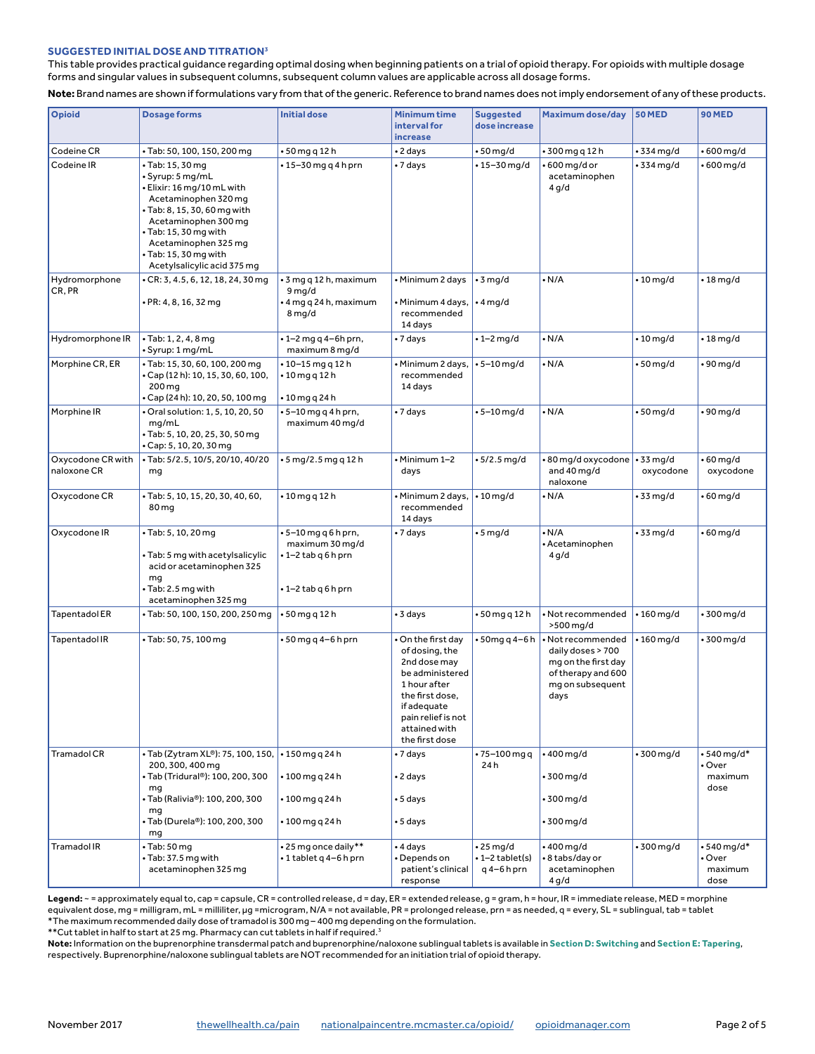#### **SUGGESTED INITIAL DOSE AND TITRATION3**

This table provides practical guidance regarding optimal dosing when beginning patients on a trial of opioid therapy. For opioids with multiple dosage forms and singular values in subsequent columns, subsequent column values are applicable across all dosage forms.

**Note:** Brand names are shown if formulations vary from that of the generic. Reference to brand names does not imply endorsement of any of these products.

| <b>Opioid</b>                    | <b>Dosage forms</b>                                                                                                                                                                                                                                         | <b>Initial dose</b>                                                                 | <b>Minimum time</b><br>interval for<br>increase                                                                                                                                  | <b>Suggested</b><br>dose increase                 | Maximum dose/day                                                                                                | <b>50 MED</b>    | 90 MED                                   |
|----------------------------------|-------------------------------------------------------------------------------------------------------------------------------------------------------------------------------------------------------------------------------------------------------------|-------------------------------------------------------------------------------------|----------------------------------------------------------------------------------------------------------------------------------------------------------------------------------|---------------------------------------------------|-----------------------------------------------------------------------------------------------------------------|------------------|------------------------------------------|
| Codeine CR                       | • Tab: 50, 100, 150, 200 mg                                                                                                                                                                                                                                 | • 50 mg q 12 h                                                                      | •2 days                                                                                                                                                                          | $\cdot$ 50 mg/d                                   | • 300 mg q 12 h                                                                                                 | $\cdot$ 334 mg/d | • 600 mg/d                               |
| Codeine IR                       | • Tab: 15, 30 mg<br>· Syrup: 5 mg/mL<br>• Elixir: 16 mg/10 mL with<br>Acetaminophen 320 mq<br>• Tab: 8, 15, 30, 60 mg with<br>Acetaminophen 300 mg<br>· Tab: 15, 30 mg with<br>Acetaminophen 325 mg<br>• Tab: 15, 30 mg with<br>Acetylsalicylic acid 375 mg | $\cdot$ 15-30 mg g 4 h prn                                                          | • 7 days                                                                                                                                                                         | • 15–30 mg/d                                      | • 600 mg/d or<br>acetaminophen<br>4 g/d                                                                         | $\cdot$ 334 mg/d | • 600 mg/d                               |
| Hydromorphone<br>CR, PR          | • CR: 3, 4.5, 6, 12, 18, 24, 30 mg<br>• PR: 4, 8, 16, 32 mg                                                                                                                                                                                                 | • 3 mg q 12 h, maximum<br>9 mg/d<br>• 4 mg q 24 h, maximum<br>8 mg/d                | • Minimum 2 days<br>Minimum 4 days,<br>recommended<br>14 days                                                                                                                    | $\cdot$ 3 mg/d<br>$\cdot$ 4 mg/d                  | $\cdot$ N/A                                                                                                     | $\cdot$ 10 mg/d  | • 18 mg/d                                |
| Hydromorphone IR                 | $\cdot$ Tab: 1, 2, 4, 8 mg<br>• Syrup: 1 mg/mL                                                                                                                                                                                                              | • 1-2 mg q 4-6h prn,<br>maximum 8 mg/d                                              | • 7 days                                                                                                                                                                         | $\cdot$ 1-2 mg/d                                  | $\cdot$ N/A                                                                                                     | $\cdot$ 10 mg/d  | $\cdot$ 18 mg/d                          |
| Morphine CR, ER                  | · Tab: 15, 30, 60, 100, 200 mg<br>• Cap (12 h): 10, 15, 30, 60, 100,<br>200 mg<br>• Cap (24 h): 10, 20, 50, 100 mg                                                                                                                                          | $• 10 - 15$ mg q 12 h<br>$\cdot$ 10 mg g 12 h<br>• 10 mg q 24 h                     | Minimum 2 days,<br>recommended<br>14 days                                                                                                                                        | $• 5 - 10$ mg/d                                   | $\cdot$ N/A                                                                                                     | $\cdot$ 50 mg/d  | •90 mg/d                                 |
| Morphine IR                      | Oral solution: 1, 5, 10, 20, 50<br>mq/mL<br>· Tab: 5, 10, 20, 25, 30, 50 mg<br>• Cap: 5, 10, 20, 30 mg                                                                                                                                                      | • 5–10 mg q 4 h prn,<br>maximum 40 mg/d                                             | • 7 days                                                                                                                                                                         | $• 5 - 10$ mg/d                                   | $\cdot$ N/A                                                                                                     | $\cdot$ 50 mg/d  | •90 mg/d                                 |
| Oxycodone CR with<br>naloxone CR | • Tab: 5/2.5, 10/5, 20/10, 40/20<br>mq                                                                                                                                                                                                                      | $-5$ mg/2.5 mg g 12 h                                                               | Minimum 1-2<br>days                                                                                                                                                              | $• 5/2.5$ mg/d                                    | • 80 mg/d oxycodone   • 33 mg/d<br>and 40 mg/d<br>naloxone                                                      | oxycodone        | • 60 mg/d<br>oxycodone                   |
| Oxycodone CR                     | • Tab: 5, 10, 15, 20, 30, 40, 60,<br>80 mg                                                                                                                                                                                                                  | $\cdot$ 10 mg q 12 h                                                                | Minimum 2 days,<br>recommended<br>14 days                                                                                                                                        | $\cdot$ 10 mg/d                                   | $\cdot$ N/A                                                                                                     | • 33 mg/d        | • 60 mg/d                                |
| Oxycodone IR                     | · Tab: 5, 10, 20 mg<br>• Tab: 5 mg with acetylsalicylic<br>acid or acetaminophen 325<br>mq<br>• Tab: 2.5 mg with<br>acetaminophen 325 mg                                                                                                                    | • 5–10 mg q 6 h prn,<br>maximum 30 mg/d<br>•1–2 tab q 6 h prn<br>•1-2 tab q 6 h prn | • 7 days                                                                                                                                                                         | • 5 mg/d                                          | • N/A<br>• Acetaminophen<br>4 g/d                                                                               | • 33 mg/d        | • 60 mg/d                                |
| <b>Tapentadol ER</b>             | • Tab: 50, 100, 150, 200, 250 mg                                                                                                                                                                                                                            | $\cdot$ 50 mg q 12 h                                                                | • 3 days                                                                                                                                                                         | • 50 mg q 12 h                                    | · Not recommended<br>>500 mg/d                                                                                  | $\cdot$ 160 mg/d | 300 mg/d                                 |
| Tapentadol IR                    | • Tab: 50, 75, 100 mg                                                                                                                                                                                                                                       | $-50$ mg q 4-6 h prn                                                                | On the first day<br>of dosing, the<br>2nd dose may<br>be administered<br>1 hour after<br>the first dose.<br>if adequate<br>pain relief is not<br>attained with<br>the first dose | • 50mg q 4-6 h                                    | · Not recommended<br>daily doses > 700<br>mg on the first day<br>of therapy and 600<br>mg on subsequent<br>days | $\cdot$ 160 mg/d | 300 mg/d                                 |
| <b>Tramadol CR</b>               | • Tab (Zytram XL®): 75, 100, 150,  • 150 mg q 24 h<br>200, 300, 400 mg<br>• Tab (Tridural®): 100, 200, 300                                                                                                                                                  | $•100$ mg q 24 h                                                                    | • 7 days<br>• 2 days                                                                                                                                                             | • 75–100 mg g<br>24 h                             | $\cdot$ 400 mg/d<br>$\cdot$ 300 mg/d                                                                            | $\cdot$ 300 mg/d | $•540$ ma/d*<br>• Over<br>maximum        |
|                                  | mq<br>• Tab (Ralivia®): 100, 200, 300<br>mq<br>• Tab (Durela®): 100, 200, 300<br>mg                                                                                                                                                                         | $\cdot 100$ mg q 24 h<br>• 100 mg q 24 h                                            | • 5 days<br>• 5 days                                                                                                                                                             |                                                   | • 300 mg/d<br>• 300 mg/d                                                                                        |                  | dose                                     |
| <b>Tramadol IR</b>               | $\cdot$ Tab: 50 mg<br>• Tab: 37.5 mg with<br>acetaminophen 325 mg                                                                                                                                                                                           | •25 mg once daily**<br>•1 tablet q 4-6 h prn                                        | • 4 days<br>Depends on<br>patient's clinical<br>response                                                                                                                         | $\cdot$ 25 mg/d<br>•1-2 tablet(s)<br>$q$ 4-6h prn | $•400$ mg/d<br>• 8 tabs/day or<br>acetaminophen<br>4 g/d                                                        | $\cdot$ 300 mg/d | • 540 mg/d*<br>• Over<br>maximum<br>dose |

**Legend:** ~ = approximately equal to, cap = capsule, CR = controlled release, d = day, ER = extended release, g = gram, h = hour, IR = immediate release, MED = morphine equivalent dose, mg = milligram, mL = milliliter, µg =microgram, N/A = not available, PR = prolonged release, prn = as needed, q = every, SL = sublingual, tab = tablet \*The maximum recommended daily dose of tramadol is 300 mg – 400 mg depending on the formulation.

\*\*Cut tablet in half to start at 25 mg. Pharmacy can cut tablets in half if required.3

**Note:** Information on the buprenorphine transdermal patch and buprenorphine/naloxone sublingual tablets is available in **[Section D: Switching](https://thewellhealth.ca/wp-content/uploads/2017/09/CEP_OpioidManager2017.pdf#page=3)** and **[Section E: Tapering](https://thewellhealth.ca/wp-content/uploads/2017/09/CEP_OpioidManager2017.pdf#page=4)**, respectively. Buprenorphine/naloxone sublingual tablets are NOT recommended for an initiation trial of opioid therapy.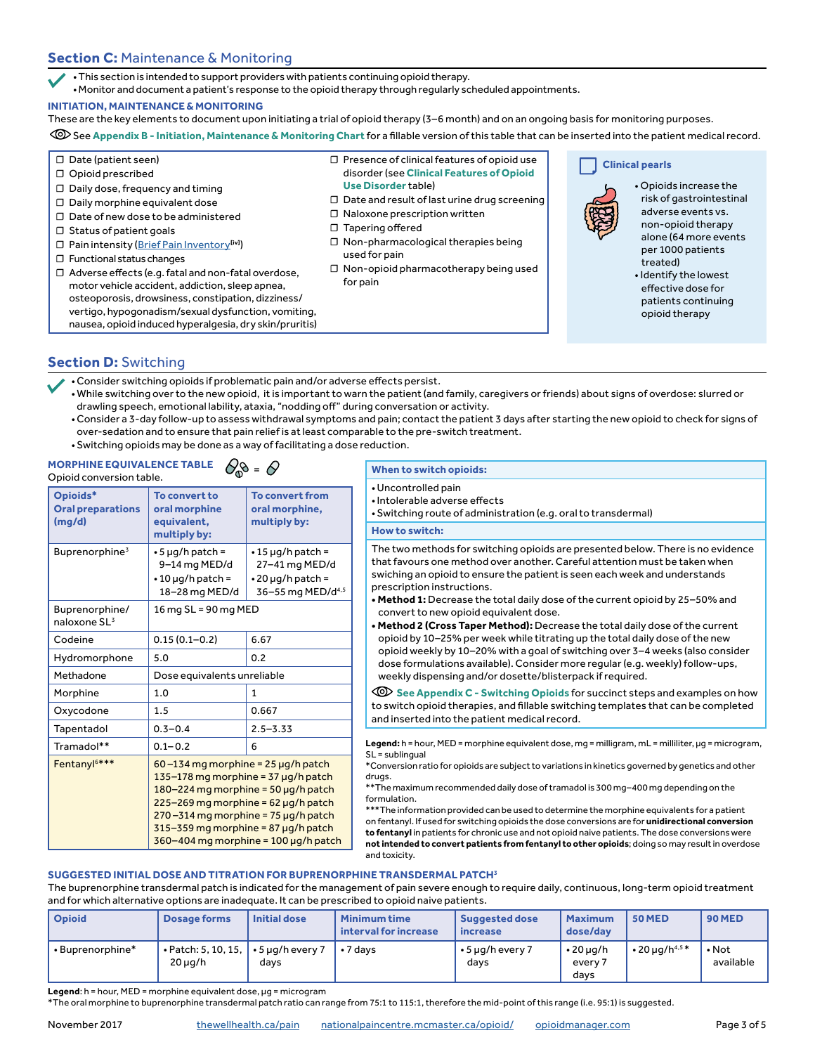# **Section C:** Maintenance & Monitoring

•This section is intended to support providers with patients continuing opioid therapy.

•Monitor and document a patient's response to the opioid therapy through regularly scheduled appointments.

## **INITIATION, MAINTENANCE & MONITORING**

These are the key elements to document upon initiating a trial of opioid therapy (3–6 month) and on an ongoing basis for monitoring purposes.

See **[Appendix B - Initiation, Maintenance & Monitoring Chart](https://thewellhealth.ca/wp-content/uploads/2017/09/CEP_OpioidManager_Appendix2017.pdf#page=2)** for a fillable version of this table that can be inserted into the patient medical record.

- **☐** Date (patient seen)
- **☐** Opioid prescribed
- **☐** Daily dose, frequency and timing
- **☐** Daily morphine equivalent dose
- **☐** Date of new dose to be administered
- **☐** Status of patient goals
- **☐** Pain intensity ([Brief Pain Inventory](http://nationalpaincentre.mcmaster.ca/documents/brief_pain_inventory.pdf)**[iv]**)
- **☐** Functional status changes
- **☐** Adverse effects (e.g. fatal and non-fatal overdose, motor vehicle accident, addiction, sleep apnea, osteoporosis, drowsiness, constipation, dizziness/ vertigo, hypogonadism/sexual dysfunction, vomiting, nausea, opioid induced hyperalgesia, dry skin/pruritis)
- **☐** Presence of clinical features of opioid use disorder (see **[Clinical Features of Opioid](https://thewellhealth.ca/wp-content/uploads/2017/09/CEP_OpioidManager2017.pdf#page=4)** 
	- **[Use Disorder](https://thewellhealth.ca/wp-content/uploads/2017/09/CEP_OpioidManager2017.pdf#page=4)**table)
- **☐** Date and result of last urine drug screening
- **☐** Naloxone prescription written
- **☐** Tapering offered
- **☐** Non-pharmacological therapies being used for pain
- **☐** Non-opioid pharmacotherapy being used for pain

**Clinical pearls**



• Opioids increase the risk of gastrointestinal adverse events vs. non-opioid therapy alone (64 more events per 1000 patients treated)

• Identify the lowest effective dose for patients continuing opioid therapy

## **Section D:** Switching

- •Consider switching opioids if problematic pain and/or adverse effects persist.
- •While switching over to the new opioid, it is important to warn the patient (and family, caregivers or friends) about signs of overdose: slurred or drawling speech, emotional lability, ataxia, "nodding off" during conversation or activity.
- •Consider a 3-day follow-up to assess withdrawal symptoms and pain; contact the patient 3 days after starting the new opioid to check for signs of over-sedation and to ensure that pain relief is at least comparable to the pre-switch treatment.
- •Switching opioids may be done as a way of facilitating a dose reduction.

#### **MORPHINE EQUIVALENCE TABLE**  $\bigotimes_{\mathbb{Q}}\mathbf{\mathbf{\mathbb{S}}}$  = Opioid conversion table.

| Opioids*<br><b>Oral preparations</b><br>(mg/d) | To convert to<br>oral morphine<br>equivalent,<br>multiply by:                                                                                                                                                                                                                                       | <b>To convert from</b><br>oral morphine,<br>multiply by:                                              |  |  |
|------------------------------------------------|-----------------------------------------------------------------------------------------------------------------------------------------------------------------------------------------------------------------------------------------------------------------------------------------------------|-------------------------------------------------------------------------------------------------------|--|--|
| Buprenorphine <sup>3</sup>                     | $\cdot$ 5 µg/h patch =<br>9-14 mg MED/d<br>$\cdot$ 10 µg/h patch =<br>18-28 mg MED/d                                                                                                                                                                                                                | $\cdot$ 15 µg/h patch =<br>27-41 mg MED/d<br>$\cdot$ 20 µg/h patch =<br>36-55 mg MED/d <sup>4,5</sup> |  |  |
| Buprenorphine/<br>naloxone SL <sup>3</sup>     | 16 mg SL = 90 mg MED                                                                                                                                                                                                                                                                                |                                                                                                       |  |  |
| Codeine                                        | $0.15(0.1 - 0.2)$                                                                                                                                                                                                                                                                                   | 6.67                                                                                                  |  |  |
| Hydromorphone                                  | 5.0                                                                                                                                                                                                                                                                                                 | 0.2                                                                                                   |  |  |
| Methadone                                      | Dose equivalents unreliable                                                                                                                                                                                                                                                                         |                                                                                                       |  |  |
| Morphine                                       | 1.0                                                                                                                                                                                                                                                                                                 | 1                                                                                                     |  |  |
| Oxycodone                                      | 1.5                                                                                                                                                                                                                                                                                                 | 0.667                                                                                                 |  |  |
| Tapentadol                                     | $0.3 - 0.4$                                                                                                                                                                                                                                                                                         | $2.5 - 3.33$                                                                                          |  |  |
| Tramadol**                                     | $0.1 - 0.2$                                                                                                                                                                                                                                                                                         | 6                                                                                                     |  |  |
| Fentanyl <sup>6***</sup>                       | $60 - 134$ mg morphine = 25 µg/h patch<br>$135-178$ mg morphine = 37 µg/h patch<br>$180 - 224$ mg morphine = 50 µg/h patch<br>$225 - 269$ mg morphine = 62 µg/h patch<br>$270 - 314$ mg morphine = 75 µg/h patch<br>$315 - 359$ mg morphine = 87 µg/h patch<br>360-404 mg morphine = 100 µg/h patch |                                                                                                       |  |  |

## **When to switch opioids:**

- •Uncontrolled pain
- •Intolerable adverse effects
- •Switching route of administration (e.g. oral to transdermal)

#### **How to switch:**

The two methods for switching opioids are presented below. There is no evidence that favours one method over another. Careful attention must be taken when swiching an opioid to ensure the patient is seen each week and understands prescription instructions.

- **Method 1:** Decrease the total daily dose of the current opioid by 25–50% and convert to new opioid equivalent dose.
- **Method 2 (Cross Taper Method):** Decrease the total daily dose of the current opioid by 10–25% per week while titrating up the total daily dose of the new opioid weekly by 10–20% with a goal of switching over 3–4 weeks (also consider dose formulations available). Consider more regular (e.g. weekly) follow-ups, weekly dispensing and/or dosette/blisterpack if required.

**[See Appendix C - Switching Opioids](https://thewellhealth.ca/wp-content/uploads/2017/09/CEP_OpioidManager_Appendix2017.pdf#page=3) for succinct steps and examples on how** to switch opioid therapies, and fillable switching templates that can be completed and inserted into the patient medical record.

Legend: h = hour, MED = morphine equivalent dose, mg = milligram, mL = milliliter, µg = microgram, SL = sublingual

\*Conversion ratio for opioids are subject to variations in kinetics governed by genetics and other drugs.

\*\*The maximum recommended daily dose of tramadol is 300 mg–400 mg depending on the formulation.

\*\*\*The information provided can be used to determine the morphine equivalents for a patient on fentanyl. If used for switching opioids the dose conversions are for **unidirectional conversion to fentanyl** in patients for chronic use and not opioid naive patients. The dose conversions were **not intended to convert patients from fentanyl to other opioids**; doing so may result in overdose and toxicity.

## **SUGGESTED INITIAL DOSE AND TITRATION FOR BUPRENORPHINE TRANSDERMAL PATCH3**

The buprenorphine transdermal patch is indicated for the management of pain severe enough to require daily, continuous, long-term opioid treatment and for which alternative options are inadequate. It can be prescribed to opioid naive patients.

| <b>Opioid</b>   | Dosage forms                        | <b>Initial dose</b>            | <b>Minimum time</b><br>interval for increase | <b>Suggested dose</b><br>increase | <b>Maximum</b><br>dose/day         | <b>50 MED</b>                   | <b>90 MED</b>            |
|-----------------|-------------------------------------|--------------------------------|----------------------------------------------|-----------------------------------|------------------------------------|---------------------------------|--------------------------|
| •Buprenorphine* | • Patch: 5, 10, 15,<br>$20 \mu q/h$ | $\cdot$ 5 µg/h every 7<br>days | $\cdot$ 7 davs                               | $\cdot$ 5 µg/h every 7<br>days    | $\cdot$ 20 µg/h<br>every 7<br>davs | $\cdot$ 20 ug/h <sup>4,5*</sup> | $\cdot$ Not<br>available |

**Legend:** h = hour, MED = morphine equivalent dose, ug = microgram

\*The oral morphine to buprenorphine transdermal patch ratio can range from 75:1 to 115:1, therefore the mid-point of this range (i.e. 95:1) is suggested.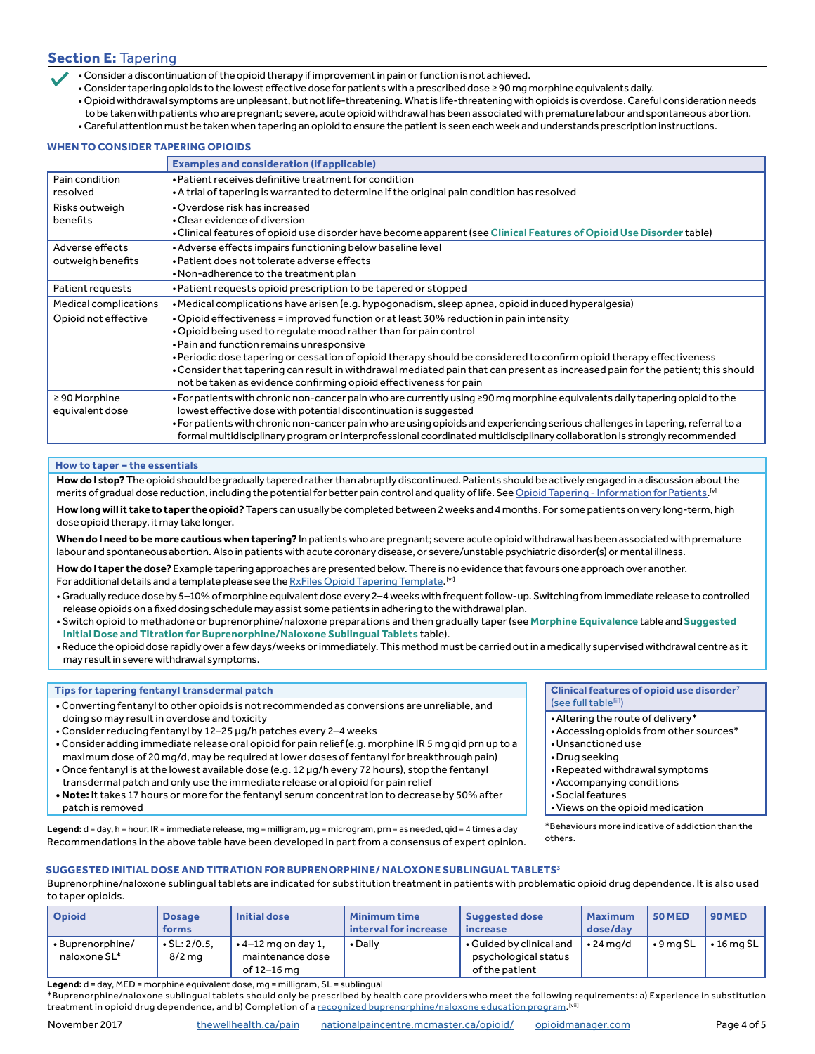# **Section E:** Tapering

• Consider a discontinuation of the opioid therapy if improvement in pain or function is not achieved.

- Consider tapering opioids to the lowest effective dose for patients with a prescribed dose ≥ 90 mg morphine equivalents daily.
- Opioid withdrawal symptoms are unpleasant, but not life-threatening. What is life-threatening with opioids is overdose. Careful consideration needs
- to be taken with patients who are pregnant; severe, acute opioid withdrawal has been associated with premature labour and spontaneous abortion.
- Careful attention must be taken when tapering an opioid to ensure the patient is seen each week and understands prescription instructions.

#### **WHEN TO CONSIDER TAPERING OPIOIDS**

|                       | <b>Examples and consideration (if applicable)</b>                                                                                |  |  |  |  |
|-----------------------|----------------------------------------------------------------------------------------------------------------------------------|--|--|--|--|
| Pain condition        | • Patient receives definitive treatment for condition                                                                            |  |  |  |  |
| resolved              | • A trial of tapering is warranted to determine if the original pain condition has resolved                                      |  |  |  |  |
| Risks outweigh        | • Overdose risk has increased                                                                                                    |  |  |  |  |
| benefits              | • Clear evidence of diversion                                                                                                    |  |  |  |  |
|                       | . Clinical features of opioid use disorder have become apparent (see Clinical Features of Opioid Use Disorder table)             |  |  |  |  |
| Adverse effects       | • Adverse effects impairs functioning below baseline level                                                                       |  |  |  |  |
| outweigh benefits     | • Patient does not tolerate adverse effects                                                                                      |  |  |  |  |
|                       | • Non-adherence to the treatment plan                                                                                            |  |  |  |  |
| Patient requests      | • Patient requests opioid prescription to be tapered or stopped                                                                  |  |  |  |  |
| Medical complications | • Medical complications have arisen (e.g. hypogonadism, sleep apnea, opioid induced hyperalgesia)                                |  |  |  |  |
| Opioid not effective  | . Opioid effectiveness = improved function or at least 30% reduction in pain intensity                                           |  |  |  |  |
|                       | . Opioid being used to regulate mood rather than for pain control                                                                |  |  |  |  |
|                       | • Pain and function remains unresponsive                                                                                         |  |  |  |  |
|                       | • Periodic dose tapering or cessation of opioid therapy should be considered to confirm opioid therapy effectiveness             |  |  |  |  |
|                       | • Consider that tapering can result in withdrawal mediated pain that can present as increased pain for the patient; this should  |  |  |  |  |
|                       | not be taken as evidence confirming opioid effectiveness for pain                                                                |  |  |  |  |
| ≥90 Morphine          | . For patients with chronic non-cancer pain who are currently using ≥90 mg morphine equivalents daily tapering opioid to the     |  |  |  |  |
| equivalent dose       | lowest effective dose with potential discontinuation is suggested                                                                |  |  |  |  |
|                       | • For patients with chronic non-cancer pain who are using opioids and experiencing serious challenges in tapering, referral to a |  |  |  |  |
|                       | formal multidisciplinary program or interprofessional coordinated multidisciplinary collaboration is strongly recommended        |  |  |  |  |

#### **How to taper – the essentials**

**How do I stop?** The opioid should be gradually tapered rather than abruptly discontinued. Patients should be actively engaged in a discussion about the merits of gradual dose reduction, including the potential for better pain control and quality of life. See <u>[Opioid Tapering - Information for Patients](http://nationalpaincentre.mcmaster.ca/documents/Opioid%20Tapering%20Patient%20Information%20(english).pdf). W</u>

**How long will it take to taper the opioid?** Tapers can usually be completed between 2 weeks and 4 months. For some patients on very long-term, high dose opioid therapy, it may take longer.

**When do I need to be more cautious when tapering?** In patients who are pregnant; severe acute opioid withdrawal has been associated with premature labour and spontaneous abortion. Also in patients with acute coronary disease, or severe/unstable psychiatric disorder(s) or mental illness.

**How do I taper the dose?** Example tapering approaches are presented below. There is no evidence that favours one approach over another. For additional details and a template please see the <u>RxFiles Opioid Tapering Template</u>. <sup>[w]</sup>

- Gradually reduce dose by 5–10% of morphine equivalent dose every 2–4 weeks with frequent follow-up. Switching from immediate release to controlled release opioids on a fixed dosing schedule may assist some patients in adhering to the withdrawal plan.
- Switch opioid to methadone or buprenorphine/naloxone preparations and then gradually taper (see **[Morphine Equivalence](https://thewellhealth.ca/wp-content/uploads/2017/09/CEP_OpioidManager2017.pdf#page=3)** table and **[Suggested](https://thewellhealth.ca/wp-content/uploads/2017/09/CEP_OpioidManager2017.pdf#page=4)  [Initial Dose and Titration for Buprenorphine/Naloxone Sublingual Tablets](https://thewellhealth.ca/wp-content/uploads/2017/09/CEP_OpioidManager2017.pdf#page=4)** table).

• Reduce the opioid dose rapidly over a few days/weeks or immediately. This method must be carried out in a medically supervised withdrawal centre as it may result in severe withdrawal symptoms.

#### **Tips for tapering fentanyl transdermal patch**

- Converting fentanyl to other opioids is not recommended as conversions are unreliable, and doing so may result in overdose and toxicity
- Consider reducing fentanyl by 12–25 μg/h patches every 2–4 weeks
- Consider adding immediate release oral opioid for pain relief (e.g. morphine IR 5 mg qid prn up to a maximum dose of 20 mg/d, may be required at lower doses of fentanyl for breakthrough pain)
- Once fentanyl is at the lowest available dose (e.g. 12 μg/h every 72 hours), stop the fentanyl transdermal patch and only use the immediate release oral opioid for pain relief
- **Note:** It takes 17 hours or more for the fentanyl serum concentration to decrease by 50% after patch is removed

**Legend:** d = day, h = hour, IR = immediate release, mg = milligram, μg = microgram, prn = as needed, qid = 4 times a day Recommendations in the above table have been developed in part from a consensus of expert opinion. **Clinical features of opioid use disorder7** [\(see full table\[](https://thewellhealth.ca/wp-content/uploads/2017/03/CEP_CNCP_Main_V1.pdf#page=2)ii])

- •Altering the route of delivery\*
- •Accessing opioids from other sources\*
- •Unsanctioned use
- •Drug seeking
- •Repeated withdrawal symptoms
- •Accompanying conditions
- •Social features
- •Views on the opioid medication

\*Behaviours more indicative of addiction than the others.

## **SUGGESTED INITIAL DOSE AND TITRATION FOR BUPRENORPHINE/ NALOXONE SUBLINGUAL TABLETS<sup>3</sup>**

Buprenorphine/naloxone sublingual tablets are indicated for substitution treatment in patients with problematic opioid drug dependence. It is also used to taper opioids.

| Opioid                         | <b>Dosage</b><br><b>forms</b>  | Initial dose                                                 | <b>Minimum time</b><br>interval for increase | <b>Suggested dose</b><br>increase                                  | <b>Maximum</b><br>dose/dav | <b>50 MED</b>   | <b>90 MED</b>    |
|--------------------------------|--------------------------------|--------------------------------------------------------------|----------------------------------------------|--------------------------------------------------------------------|----------------------------|-----------------|------------------|
| Buprenorphine/<br>naloxone SL* | $\cdot$ SL: 2/0.5.<br>$8/2$ mg | $\cdot$ 4-12 mg on day 1,<br>maintenance dose<br>of 12–16 ma | • Daily                                      | • Guided by clinical and<br>psychological status<br>of the patient | $\cdot$ 24 ma/d            | $\cdot$ 9 ma SL | $\cdot$ 16 mg SL |

**Legend:** d = day, MED = morphine equivalent dose, mg = milligram, SL = sublingual

\*Buprenorphine/naloxone sublingual tablets should only be prescribed by health care providers who meet the following requirements: a) Experience in substitution treatment in opioid drug dependence, and b) Completion of a <u>[recognized buprenorphine/naloxone education program.](https://www.cpso.on.ca/CPSO/media/documents/Methadone/FAQs-Prescribing-Buprenorphine.pdf)<sup>[wii</sup></u>